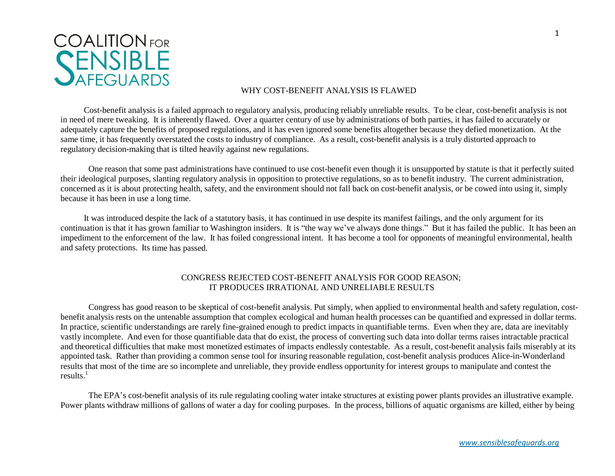

## WHY COST-BENEFIT ANALYSIS IS FLAWED

Cost-benefit analysis is a failed approach to regulatory analysis, producing reliably unreliable results. To be clear, cost-benefit analysis is not in need of mere tweaking. It is inherently flawed. Over a quarter century of use by administrations of both parties, it has failed to accurately or adequately capture the benefits of proposed regulations, and it has even ignored some benefits altogether because they defied monetization. At the same time, it has frequently overstated the costs to industry of compliance. As a result, cost-benefit analysis is a truly distorted approach to regulatory decision-making that is tilted heavily against new regulations.

One reason that some past administrations have continued to use cost-benefit even though it is unsupported by statute is that it perfectly suited their ideological purposes, slanting regulatory analysis in opposition to protective regulations, so as to benefit industry. The current administration, concerned as it is about protecting health, safety, and the environment should not fall back on cost-benefit analysis, or be cowed into using it, simply because it has been in use a long time.

It was introduced despite the lack of a statutory basis, it has continued in use despite its manifest failings, and the only argument for its continuation is that it has grown familiar to Washington insiders. It is "the way we've always done things." But it has failed the public. It has been an impediment to the enforcement of the law. It has foiled congressional intent. It has become a tool for opponents of meaningful environmental, health and safety protections. Its time has passed.

## CONGRESS REJECTED COST-BENEFIT ANALYSIS FOR GOOD REASON; IT PRODUCES IRRATIONAL AND UNRELIABLE RESULTS

Congress has good reason to be skeptical of cost-benefit analysis. Put simply, when applied to environmental health and safety regulation, costbenefit analysis rests on the untenable assumption that complex ecological and human health processes can be quantified and expressed in dollar terms. In practice, scientific understandings are rarely fine-grained enough to predict impacts in quantifiable terms. Even when they are, data are inevitably vastly incomplete. And even for those quantifiable data that do exist, the process of converting such data into dollar terms raises intractable practical and theoretical difficulties that make most monetized estimates of impacts endlessly contestable. As a result, cost-benefit analysis fails miserably at its appointed task. Rather than providing a common sense tool for insuring reasonable regulation, cost-benefit analysis produces Alice-in-Wonderland results that most of the time are so incomplete and unreliable, they provide endless opportunity for interest groups to manipulate and contest the results. $<sup>1</sup>$ </sup>

The EPA's cost-benefit analysis of its rule regulating cooling water intake structures at existing power plants provides an illustrative example. Power plants withdraw millions of gallons of water a day for cooling purposes. In the process, billions of aquatic organisms are killed, either by being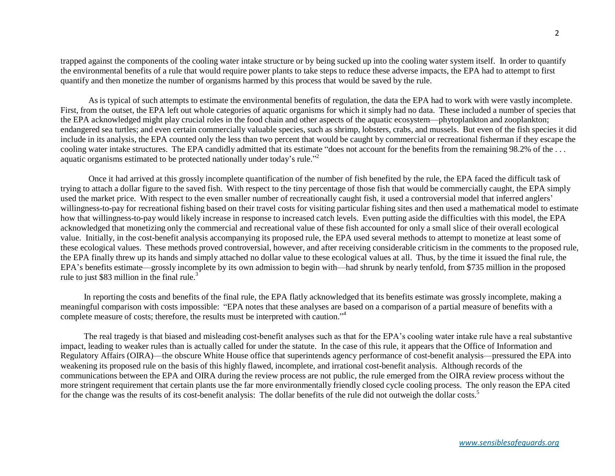trapped against the components of the cooling water intake structure or by being sucked up into the cooling water system itself. In order to quantify the environmental benefits of a rule that would require power plants to take steps to reduce these adverse impacts, the EPA had to attempt to first quantify and then monetize the number of organisms harmed by this process that would be saved by the rule.

As is typical of such attempts to estimate the environmental benefits of regulation, the data the EPA had to work with were vastly incomplete. First, from the outset, the EPA left out whole categories of aquatic organisms for which it simply had no data. These included a number of species that the EPA acknowledged might play crucial roles in the food chain and other aspects of the aquatic ecosystem—phytoplankton and zooplankton; endangered sea turtles; and even certain commercially valuable species, such as shrimp, lobsters, crabs, and mussels. But even of the fish species it did include in its analysis, the EPA counted only the less than two percent that would be caught by commercial or recreational fisherman if they escape the cooling water intake structures. The EPA candidly admitted that its estimate "does not account for the benefits from the remaining 98.2% of the ... aquatic organisms estimated to be protected nationally under today's rule."<sup>2</sup>

Once it had arrived at this grossly incomplete quantification of the number of fish benefited by the rule, the EPA faced the difficult task of trying to attach a dollar figure to the saved fish. With respect to the tiny percentage of those fish that would be commercially caught, the EPA simply used the market price. With respect to the even smaller number of recreationally caught fish, it used a controversial model that inferred anglers' willingness-to-pay for recreational fishing based on their travel costs for visiting particular fishing sites and then used a mathematical model to estimate how that willingness-to-pay would likely increase in response to increased catch levels. Even putting aside the difficulties with this model, the EPA acknowledged that monetizing only the commercial and recreational value of these fish accounted for only a small slice of their overall ecological value. Initially, in the cost-benefit analysis accompanying its proposed rule, the EPA used several methods to attempt to monetize at least some of these ecological values. These methods proved controversial, however, and after receiving considerable criticism in the comments to the proposed rule, the EPA finally threw up its hands and simply attached no dollar value to these ecological values at all. Thus, by the time it issued the final rule, the EPA's benefits estimate—grossly incomplete by its own admission to begin with—had shrunk by nearly tenfold, from \$735 million in the proposed rule to just \$83 million in the final rule.<sup>3</sup>

In reporting the costs and benefits of the final rule, the EPA flatly acknowledged that its benefits estimate was grossly incomplete, making a meaningful comparison with costs impossible: "EPA notes that these analyses are based on a comparison of a partial measure of benefits with a complete measure of costs; therefore, the results must be interpreted with caution." 4

The real tragedy is that biased and misleading cost-benefit analyses such as that for the EPA's cooling water intake rule have a real substantive impact, leading to weaker rules than is actually called for under the statute. In the case of this rule, it appears that the Office of Information and Regulatory Affairs (OIRA)—the obscure White House office that superintends agency performance of cost-benefit analysis—pressured the EPA into weakening its proposed rule on the basis of this highly flawed, incomplete, and irrational cost-benefit analysis. Although records of the communications between the EPA and OIRA during the review process are not public, the rule emerged from the OIRA review process without the more stringent requirement that certain plants use the far more environmentally friendly closed cycle cooling process. The only reason the EPA cited for the change was the results of its cost-benefit analysis: The dollar benefits of the rule did not outweigh the dollar costs.<sup>5</sup>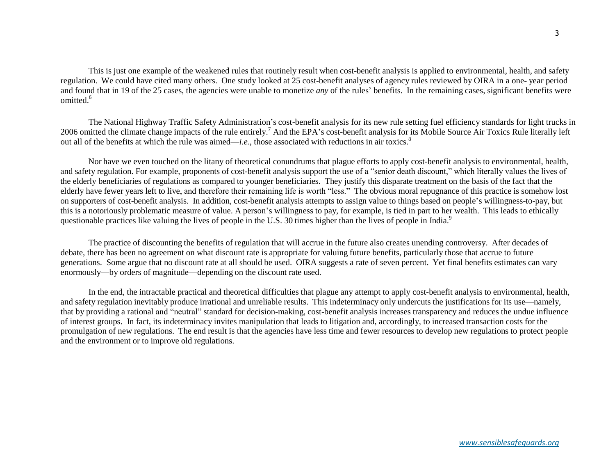This is just one example of the weakened rules that routinely result when cost-benefit analysis is applied to environmental, health, and safety regulation. We could have cited many others. One study looked at 25 cost-benefit analyses of agency rules reviewed by OIRA in a one- year period and found that in 19 of the 25 cases, the agencies were unable to monetize *any* of the rules' benefits. In the remaining cases, significant benefits were omitted.<sup>6</sup>

The National Highway Traffic Safety Administration's cost-benefit analysis for its new rule setting fuel efficiency standards for light trucks in 2006 omitted the climate change impacts of the rule entirely.<sup>7</sup> And the EPA's cost-benefit analysis for its Mobile Source Air Toxics Rule literally left out all of the benefits at which the rule was aimed—*i.e.*, those associated with reductions in air toxics.<sup>8</sup>

Nor have we even touched on the litany of theoretical conundrums that plague efforts to apply cost-benefit analysis to environmental, health, and safety regulation. For example, proponents of cost-benefit analysis support the use of a "senior death discount," which literally values the lives of the elderly beneficiaries of regulations as compared to younger beneficiaries. They justify this disparate treatment on the basis of the fact that the elderly have fewer years left to live, and therefore their remaining life is worth "less." The obvious moral repugnance of this practice is somehow lost on supporters of cost-benefit analysis. In addition, cost-benefit analysis attempts to assign value to things based on people's willingness-to-pay, but this is a notoriously problematic measure of value. A person's willingness to pay, for example, is tied in part to her wealth. This leads to ethically questionable practices like valuing the lives of people in the U.S. 30 times higher than the lives of people in India.<sup>9</sup>

The practice of discounting the benefits of regulation that will accrue in the future also creates unending controversy. After decades of debate, there has been no agreement on what discount rate is appropriate for valuing future benefits, particularly those that accrue to future generations. Some argue that no discount rate at all should be used. OIRA suggests a rate of seven percent. Yet final benefits estimates can vary enormously—by orders of magnitude—depending on the discount rate used.

In the end, the intractable practical and theoretical difficulties that plague any attempt to apply cost-benefit analysis to environmental, health, and safety regulation inevitably produce irrational and unreliable results. This indeterminacy only undercuts the justifications for its use—namely, that by providing a rational and "neutral" standard for decision-making, cost-benefit analysis increases transparency and reduces the undue influence of interest groups. In fact, its indeterminacy invites manipulation that leads to litigation and, accordingly, to increased transaction costs for the promulgation of new regulations. The end result is that the agencies have less time and fewer resources to develop new regulations to protect people and the environment or to improve old regulations.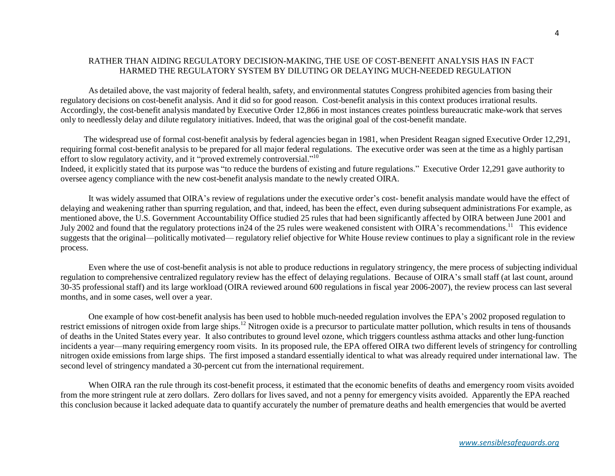## RATHER THAN AIDING REGULATORY DECISION-MAKING, THE USE OF COST-BENEFIT ANALYSIS HAS IN FACT HARMED THE REGULATORY SYSTEM BY DILUTING OR DELAYING MUCH-NEEDED REGULATION

As detailed above, the vast majority of federal health, safety, and environmental statutes Congress prohibited agencies from basing their regulatory decisions on cost-benefit analysis. And it did so for good reason. Cost-benefit analysis in this context produces irrational results. Accordingly, the cost-benefit analysis mandated by Executive Order 12,866 in most instances creates pointless bureaucratic make-work that serves only to needlessly delay and dilute regulatory initiatives. Indeed, that was the original goal of the cost-benefit mandate.

The widespread use of formal cost-benefit analysis by federal agencies began in 1981, when President Reagan signed Executive Order 12,291, requiring formal cost-benefit analysis to be prepared for all major federal regulations. The executive order was seen at the time as a highly partisan effort to slow regulatory activity, and it "proved extremely controversial."<sup>10</sup>

Indeed, it explicitly stated that its purpose was "to reduce the burdens of existing and future regulations." Executive Order 12,291 gave authority to oversee agency compliance with the new cost-benefit analysis mandate to the newly created OIRA.

It was widely assumed that OIRA's review of regulations under the executive order's cost- benefit analysis mandate would have the effect of delaying and weakening rather than spurring regulation, and that, indeed, has been the effect, even during subsequent administrations For example, as mentioned above, the U.S. Government Accountability Office studied 25 rules that had been significantly affected by OIRA between June 2001 and July 2002 and found that the regulatory protections in 24 of the 25 rules were weakened consistent with OIRA's recommendations.<sup>11</sup> This evidence suggests that the original—politically motivated— regulatory relief objective for White House review continues to play a significant role in the review process.

Even where the use of cost-benefit analysis is not able to produce reductions in regulatory stringency, the mere process of subjecting individual regulation to comprehensive centralized regulatory review has the effect of delaying regulations. Because of OIRA's small staff (at last count, around 30-35 professional staff) and its large workload (OIRA reviewed around 600 regulations in fiscal year 2006-2007), the review process can last several months, and in some cases, well over a year.

One example of how cost-benefit analysis has been used to hobble much-needed regulation involves the EPA's 2002 proposed regulation to restrict emissions of nitrogen oxide from large ships.<sup>12</sup> Nitrogen oxide is a precursor to particulate matter pollution, which results in tens of thousands of deaths in the United States every year. It also contributes to ground level ozone, which triggers countless asthma attacks and other lung-function incidents a year—many requiring emergency room visits. In its proposed rule, the EPA offered OIRA two different levels of stringency for controlling nitrogen oxide emissions from large ships. The first imposed a standard essentially identical to what was already required under international law. The second level of stringency mandated a 30-percent cut from the international requirement.

When OIRA ran the rule through its cost-benefit process, it estimated that the economic benefits of deaths and emergency room visits avoided from the more stringent rule at zero dollars. Zero dollars for lives saved, and not a penny for emergency visits avoided. Apparently the EPA reached this conclusion because it lacked adequate data to quantify accurately the number of premature deaths and health emergencies that would be averted

*www.sensiblesafeguards.org*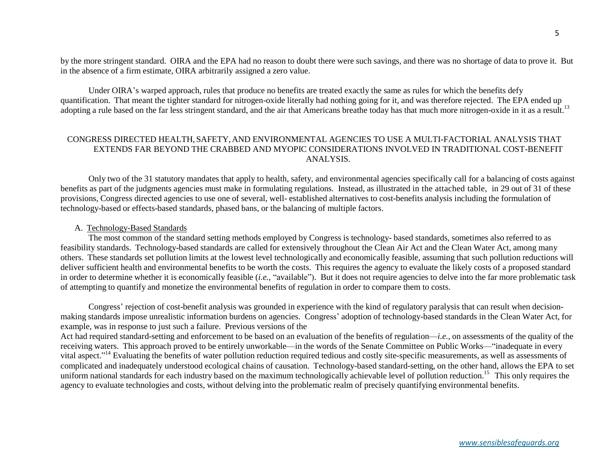by the more stringent standard. OIRA and the EPA had no reason to doubt there were such savings, and there was no shortage of data to prove it. But in the absence of a firm estimate, OIRA arbitrarily assigned a zero value.

Under OIRA's warped approach, rules that produce no benefits are treated exactly the same as rules for which the benefits defy quantification. That meant the tighter standard for nitrogen-oxide literally had nothing going for it, and was therefore rejected. The EPA ended up adopting a rule based on the far less stringent standard, and the air that Americans breathe today has that much more nitrogen-oxide in it as a result.<sup>13</sup>

## CONGRESS DIRECTED HEALTH, SAFETY,AND ENVIRONMENTAL AGENCIES TO USE A MULTI-FACTORIAL ANALYSIS THAT EXTENDS FAR BEYOND THE CRABBED AND MYOPIC CONSIDERATIONS INVOLVED IN TRADITIONAL COST-BENEFIT ANALYSIS.

Only two of the 31 statutory mandates that apply to health, safety, and environmental agencies specifically call for a balancing of costs against benefits as part of the judgments agencies must make in formulating regulations. Instead, as illustrated in the attached table, in 29 out of 31 of these provisions, Congress directed agencies to use one of several, well- established alternatives to cost-benefits analysis including the formulation of technology-based or effects-based standards, phased bans, or the balancing of multiple factors.

#### A. Technology-Based Standards

The most common of the standard setting methods employed by Congress is technology- based standards, sometimes also referred to as feasibility standards. Technology-based standards are called for extensively throughout the Clean Air Act and the Clean Water Act, among many others. These standards set pollution limits at the lowest level technologically and economically feasible, assuming that such pollution reductions will deliver sufficient health and environmental benefits to be worth the costs. This requires the agency to evaluate the likely costs of a proposed standard in order to determine whether it is economically feasible (*i.e.*, "available"). But it does not require agencies to delve into the far more problematic task of attempting to quantify and monetize the environmental benefits of regulation in order to compare them to costs.

Congress' rejection of cost-benefit analysis was grounded in experience with the kind of regulatory paralysis that can result when decisionmaking standards impose unrealistic information burdens on agencies. Congress' adoption of technology-based standards in the Clean Water Act, for example, was in response to just such a failure. Previous versions of the

Act had required standard-setting and enforcement to be based on an evaluation of the benefits of regulation—*i.e.*, on assessments of the quality of the receiving waters. This approach proved to be entirely unworkable—in the words of the Senate Committee on Public Works—"inadequate in every vital aspect."<sup>14</sup> Evaluating the benefits of water pollution reduction required tedious and costly site-specific measurements, as well as assessments of complicated and inadequately understood ecological chains of causation. Technology-based standard-setting, on the other hand, allows the EPA to set uniform national standards for each industry based on the maximum technologically achievable level of pollution reduction.<sup>15</sup> This only requires the agency to evaluate technologies and costs, without delving into the problematic realm of precisely quantifying environmental benefits.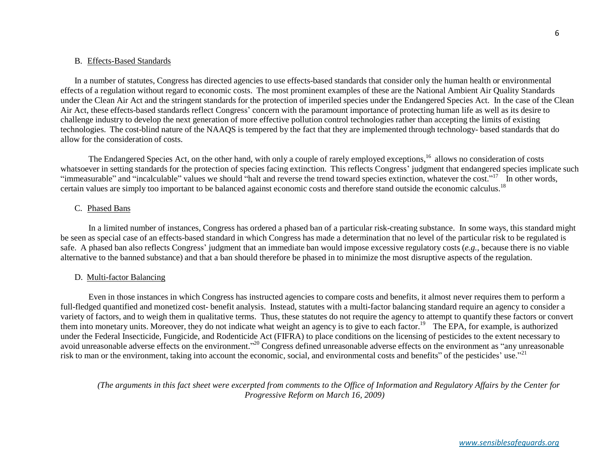#### B. Effects-Based Standards

In a number of statutes, Congress has directed agencies to use effects-based standards that consider only the human health or environmental effects of a regulation without regard to economic costs. The most prominent examples of these are the National Ambient Air Quality Standards under the Clean Air Act and the stringent standards for the protection of imperiled species under the Endangered Species Act. In the case of the Clean Air Act, these effects-based standards reflect Congress' concern with the paramount importance of protecting human life as well as its desire to challenge industry to develop the next generation of more effective pollution control technologies rather than accepting the limits of existing technologies. The cost-blind nature of the NAAQS is tempered by the fact that they are implemented through technology- based standards that do allow for the consideration of costs.

The Endangered Species Act, on the other hand, with only a couple of rarely employed exceptions,<sup>16</sup> allows no consideration of costs whatsoever in setting standards for the protection of species facing extinction. This reflects Congress' judgment that endangered species implicate such "immeasurable" and "incalculable" values we should "halt and reverse the trend toward species extinction, whatever the cost." <sup>17</sup> In other words, certain values are simply too important to be balanced against economic costs and therefore stand outside the economic calculus.<sup>18</sup>

#### C. Phased Bans

In a limited number of instances, Congress has ordered a phased ban of a particular risk-creating substance. In some ways, this standard might be seen as special case of an effects-based standard in which Congress has made a determination that no level of the particular risk to be regulated is safe. A phased ban also reflects Congress' judgment that an immediate ban would impose excessive regulatory costs (*e.g.*, because there is no viable alternative to the banned substance) and that a ban should therefore be phased in to minimize the most disruptive aspects of the regulation.

#### D. Multi-factor Balancing

Even in those instances in which Congress has instructed agencies to compare costs and benefits, it almost never requires them to perform a full-fledged quantified and monetized cost- benefit analysis. Instead, statutes with a multi-factor balancing standard require an agency to consider a variety of factors, and to weigh them in qualitative terms. Thus, these statutes do not require the agency to attempt to quantify these factors or convert where or necess, and to weight them in quantum vectors. Thus, these summes to not require the agency to attempt to quantify these ractors of each them into monetary units. Moreover, they do not indicate what weight an agen under the Federal Insecticide, Fungicide, and Rodenticide Act (FIFRA) to place conditions on the licensing of pesticides to the extent necessary to avoid unreasonable adverse effects on the environment."<sup>20</sup> Congress defined unreasonable adverse effects on the environment as "any unreasonable risk to man or the environment, taking into account the economic, social, and environmental costs and benefits" of the pesticides' use."<sup>21</sup>

*(The arguments in this fact sheet were excerpted from comments to the Office of Information and Regulatory Affairs by the Center for Progressive Reform on March 16, 2009)*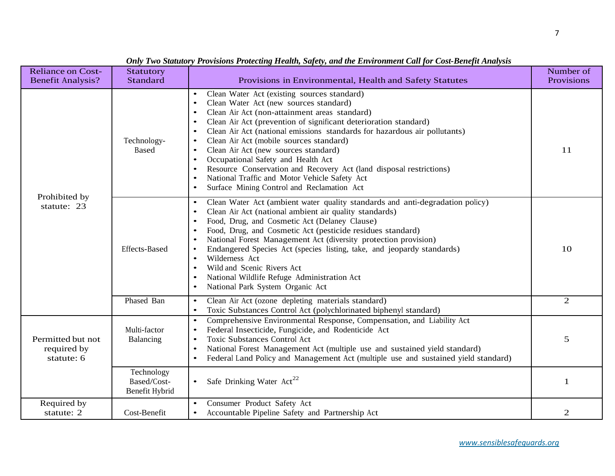| <b>Reliance on Cost-</b><br><b>Benefit Analysis?</b> | Statutory<br>Standard                       | Provisions in Environmental, Health and Safety Statutes                                                                                                                                                                                                                                                                                                                                                                                                                                                                                                                                                                                                                                                                  | Number of<br>Provisions |
|------------------------------------------------------|---------------------------------------------|--------------------------------------------------------------------------------------------------------------------------------------------------------------------------------------------------------------------------------------------------------------------------------------------------------------------------------------------------------------------------------------------------------------------------------------------------------------------------------------------------------------------------------------------------------------------------------------------------------------------------------------------------------------------------------------------------------------------------|-------------------------|
| Prohibited by<br>statute: 23                         | Technology-<br><b>Based</b>                 | Clean Water Act (existing sources standard)<br>$\bullet$<br>Clean Water Act (new sources standard)<br>$\bullet$<br>Clean Air Act (non-attainment areas standard)<br>Clean Air Act (prevention of significant deterioration standard)<br>$\bullet$<br>Clean Air Act (national emissions standards for hazardous air pollutants)<br>$\bullet$<br>Clean Air Act (mobile sources standard)<br>$\bullet$<br>Clean Air Act (new sources standard)<br>$\bullet$<br>Occupational Safety and Health Act<br>$\bullet$<br>Resource Conservation and Recovery Act (land disposal restrictions)<br>$\bullet$<br>National Traffic and Motor Vehicle Safety Act<br>$\bullet$<br>Surface Mining Control and Reclamation Act<br>$\bullet$ | 11                      |
|                                                      | <b>Effects-Based</b>                        | Clean Water Act (ambient water quality standards and anti-degradation policy)<br>$\bullet$<br>Clean Air Act (national ambient air quality standards)<br>Food, Drug, and Cosmetic Act (Delaney Clause)<br>Food, Drug, and Cosmetic Act (pesticide residues standard)<br>National Forest Management Act (diversity protection provision)<br>$\bullet$<br>Endangered Species Act (species listing, take, and jeopardy standards)<br>$\bullet$<br>Wilderness Act<br>$\bullet$<br>Wild and Scenic Rivers Act<br>$\bullet$<br>National Wildlife Refuge Administration Act<br>National Park System Organic Act<br>$\bullet$                                                                                                     | 10                      |
|                                                      | Phased Ban                                  | Clean Air Act (ozone depleting materials standard)<br>$\bullet$<br>Toxic Substances Control Act (polychlorinated biphenyl standard)<br>$\bullet$                                                                                                                                                                                                                                                                                                                                                                                                                                                                                                                                                                         | $\overline{2}$          |
| Permitted but not<br>required by<br>statute: 6       | Multi-factor<br>Balancing                   | Comprehensive Environmental Response, Compensation, and Liability Act<br>$\bullet$<br>Federal Insecticide, Fungicide, and Rodenticide Act<br>$\bullet$<br><b>Toxic Substances Control Act</b><br>$\bullet$<br>National Forest Management Act (multiple use and sustained yield standard)<br>$\bullet$<br>Federal Land Policy and Management Act (multiple use and sustained yield standard)<br>$\bullet$                                                                                                                                                                                                                                                                                                                 | 5                       |
|                                                      | Technology<br>Based/Cost-<br>Benefit Hybrid | Safe Drinking Water Act <sup>22</sup><br>$\bullet$                                                                                                                                                                                                                                                                                                                                                                                                                                                                                                                                                                                                                                                                       | $\mathbf{1}$            |
| Required by<br>statute: 2                            | Cost-Benefit                                | Consumer Product Safety Act<br>Accountable Pipeline Safety and Partnership Act                                                                                                                                                                                                                                                                                                                                                                                                                                                                                                                                                                                                                                           | $\mathfrak{2}$          |

# *Only Two Statutory Provisions Protecting Health, Safety, and the Environment Call for Cost-Benefit Analysis*